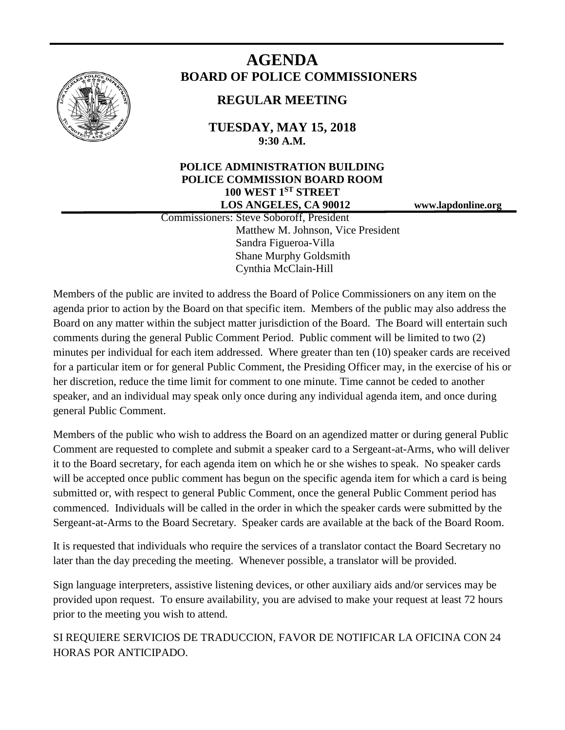

# **AGENDA BOARD OF POLICE COMMISSIONERS**

# **REGULAR MEETING**

**TUESDAY, MAY 15, 2018 9:30 A.M.**

# **POLICE ADMINISTRATION BUILDING POLICE COMMISSION BOARD ROOM 100 WEST 1ST STREET LOS ANGELES, CA 90012 www.lapdonline.org**

 Commissioners: Steve Soboroff, President Matthew M. Johnson, Vice President Sandra Figueroa-Villa Shane Murphy Goldsmith Cynthia McClain-Hill

Members of the public are invited to address the Board of Police Commissioners on any item on the agenda prior to action by the Board on that specific item. Members of the public may also address the Board on any matter within the subject matter jurisdiction of the Board. The Board will entertain such comments during the general Public Comment Period. Public comment will be limited to two (2) minutes per individual for each item addressed. Where greater than ten (10) speaker cards are received for a particular item or for general Public Comment, the Presiding Officer may, in the exercise of his or her discretion, reduce the time limit for comment to one minute. Time cannot be ceded to another speaker, and an individual may speak only once during any individual agenda item, and once during general Public Comment.

Members of the public who wish to address the Board on an agendized matter or during general Public Comment are requested to complete and submit a speaker card to a Sergeant-at-Arms, who will deliver it to the Board secretary, for each agenda item on which he or she wishes to speak. No speaker cards will be accepted once public comment has begun on the specific agenda item for which a card is being submitted or, with respect to general Public Comment, once the general Public Comment period has commenced. Individuals will be called in the order in which the speaker cards were submitted by the Sergeant-at-Arms to the Board Secretary. Speaker cards are available at the back of the Board Room.

It is requested that individuals who require the services of a translator contact the Board Secretary no later than the day preceding the meeting. Whenever possible, a translator will be provided.

Sign language interpreters, assistive listening devices, or other auxiliary aids and/or services may be provided upon request. To ensure availability, you are advised to make your request at least 72 hours prior to the meeting you wish to attend.

SI REQUIERE SERVICIOS DE TRADUCCION, FAVOR DE NOTIFICAR LA OFICINA CON 24 HORAS POR ANTICIPADO.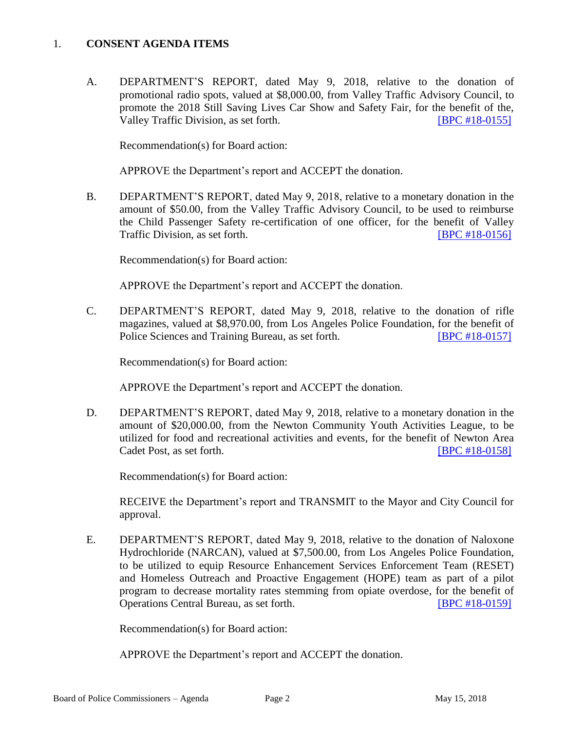# 1. **CONSENT AGENDA ITEMS**

A. DEPARTMENT'S REPORT, dated May 9, 2018, relative to the donation of promotional radio spots, valued at \$8,000.00, from Valley Traffic Advisory Council, to promote the 2018 Still Saving Lives Car Show and Safety Fair, for the benefit of the, Valley Traffic Division, as set forth. [\[BPC #18-0155\]](http://www.lapdpolicecom.lacity.org/051518/BPC_18-0155.pdf)

Recommendation(s) for Board action:

APPROVE the Department's report and ACCEPT the donation.

B. DEPARTMENT'S REPORT, dated May 9, 2018, relative to a monetary donation in the amount of \$50.00, from the Valley Traffic Advisory Council, to be used to reimburse the Child Passenger Safety re-certification of one officer, for the benefit of Valley Traffic Division, as set forth. **ISPC #18-0156** 

Recommendation(s) for Board action:

APPROVE the Department's report and ACCEPT the donation.

C. DEPARTMENT'S REPORT, dated May 9, 2018, relative to the donation of rifle magazines, valued at \$8,970.00, from Los Angeles Police Foundation, for the benefit of Police Sciences and Training Bureau, as set forth. **[\[BPC #18-0157\]](http://www.lapdpolicecom.lacity.org/051518/BPC_18-0157.pdf)** 

Recommendation(s) for Board action:

APPROVE the Department's report and ACCEPT the donation.

D. DEPARTMENT'S REPORT, dated May 9, 2018, relative to a monetary donation in the amount of \$20,000.00, from the Newton Community Youth Activities League, to be utilized for food and recreational activities and events, for the benefit of Newton Area Cadet Post, as set forth. **[\[BPC #18-0158\]](http://www.lapdpolicecom.lacity.org/051518/BPC_18-0158.pdf)** 

Recommendation(s) for Board action:

RECEIVE the Department's report and TRANSMIT to the Mayor and City Council for approval.

E. DEPARTMENT'S REPORT, dated May 9, 2018, relative to the donation of Naloxone Hydrochloride (NARCAN), valued at \$7,500.00, from Los Angeles Police Foundation, to be utilized to equip Resource Enhancement Services Enforcement Team (RESET) and Homeless Outreach and Proactive Engagement (HOPE) team as part of a pilot program to decrease mortality rates stemming from opiate overdose, for the benefit of Operations Central Bureau, as set forth. [\[BPC #18-0159\]](http://www.lapdpolicecom.lacity.org/051518/BPC_18-0159.pdf)

Recommendation(s) for Board action:

APPROVE the Department's report and ACCEPT the donation.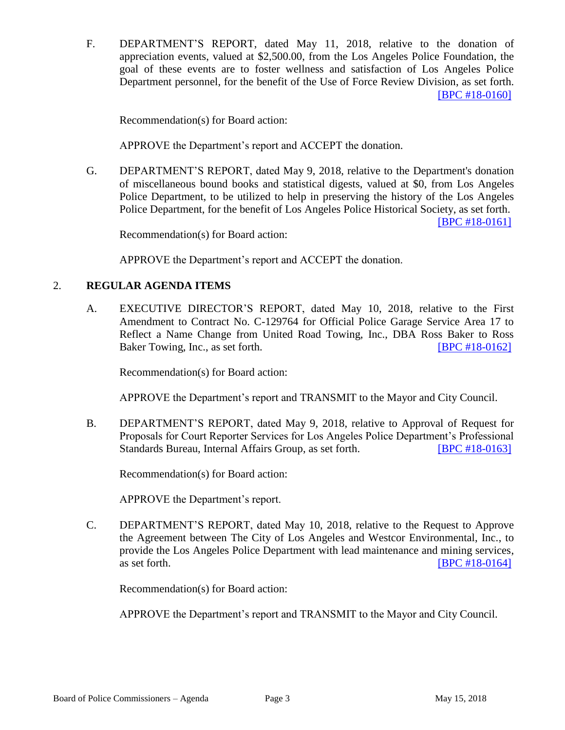F. DEPARTMENT'S REPORT, dated May 11, 2018, relative to the donation of appreciation events, valued at \$2,500.00, from the Los Angeles Police Foundation, the goal of these events are to foster wellness and satisfaction of Los Angeles Police Department personnel, for the benefit of the Use of Force Review Division, as set forth. [\[BPC #18-0160\]](http://www.lapdpolicecom.lacity.org/051518/BPC_18-0160.pdf)

Recommendation(s) for Board action:

APPROVE the Department's report and ACCEPT the donation.

G. DEPARTMENT'S REPORT, dated May 9, 2018, relative to the Department's donation of miscellaneous bound books and statistical digests, valued at \$0, from Los Angeles Police Department, to be utilized to help in preserving the history of the Los Angeles Police Department, for the benefit of Los Angeles Police Historical Society, as set forth.

[\[BPC #18-0161\]](http://www.lapdpolicecom.lacity.org/051518/BPC_18-0161.pdf)

Recommendation(s) for Board action:

APPROVE the Department's report and ACCEPT the donation.

#### 2. **REGULAR AGENDA ITEMS**

A. EXECUTIVE DIRECTOR'S REPORT, dated May 10, 2018, relative to the First Amendment to Contract No. C-129764 for Official Police Garage Service Area 17 to Reflect a Name Change from United Road Towing, Inc., DBA Ross Baker to Ross Baker Towing, Inc., as set forth. [\[BPC #18-0162\]](http://www.lapdpolicecom.lacity.org/051518/BPC_18-0162.pdf)

Recommendation(s) for Board action:

APPROVE the Department's report and TRANSMIT to the Mayor and City Council.

B. DEPARTMENT'S REPORT, dated May 9, 2018, relative to Approval of Request for Proposals for Court Reporter Services for Los Angeles Police Department's Professional Standards Bureau, Internal Affairs Group, as set forth. [\[BPC #18-0163\]](http://www.lapdpolicecom.lacity.org/051518/BPC_18-0163.pdf)

Recommendation(s) for Board action:

APPROVE the Department's report.

C. DEPARTMENT'S REPORT, dated May 10, 2018, relative to the Request to Approve the Agreement between The City of Los Angeles and Westcor Environmental, Inc., to provide the Los Angeles Police Department with lead maintenance and mining services, as set forth. **IBPC** #18-0164]

Recommendation(s) for Board action:

APPROVE the Department's report and TRANSMIT to the Mayor and City Council.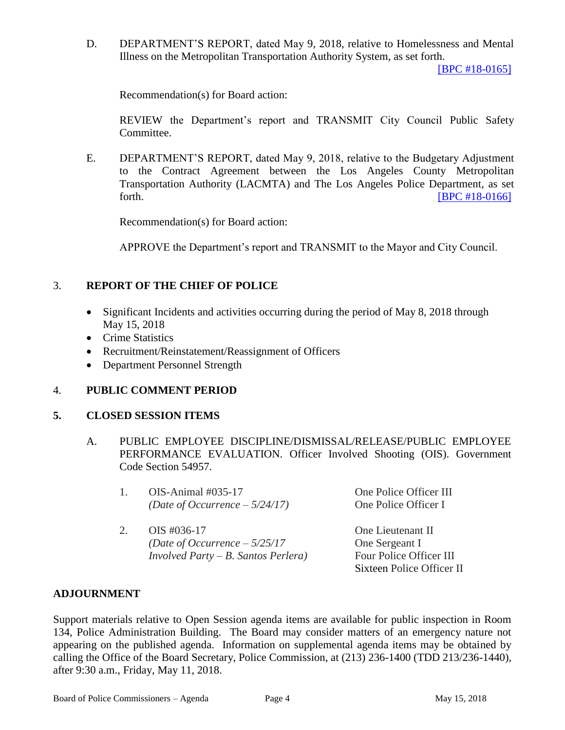D. DEPARTMENT'S REPORT, dated May 9, 2018, relative to Homelessness and Mental Illness on the Metropolitan Transportation Authority System, as set forth.

[\[BPC #18-0165\]](http://www.lapdpolicecom.lacity.org/051518/BPC_18-0165.pdf)

Recommendation(s) for Board action:

REVIEW the Department's report and TRANSMIT City Council Public Safety Committee.

E. DEPARTMENT'S REPORT, dated May 9, 2018, relative to the Budgetary Adjustment to the Contract Agreement between the Los Angeles County Metropolitan Transportation Authority (LACMTA) and The Los Angeles Police Department, as set forth. **EXECUTE: EXECUTE: EXECUTE: EXECUTE: EXECUTE: EXECUTE: EXECUTE: EXECUTE: EXECUTE: EXECUTE: EXECUTE: EXECUTE: EXECUTE: EXECUTE: EXECUTE: EXECUTE: EXECUTE: EXECUTE: EXECUTE: EXECU** 

Recommendation(s) for Board action:

APPROVE the Department's report and TRANSMIT to the Mayor and City Council.

# 3. **REPORT OF THE CHIEF OF POLICE**

- Significant Incidents and activities occurring during the period of May 8, 2018 through May 15, 2018
- Crime Statistics
- Recruitment/Reinstatement/Reassignment of Officers
- Department Personnel Strength

# 4. **PUBLIC COMMENT PERIOD**

# **5. CLOSED SESSION ITEMS**

- A. PUBLIC EMPLOYEE DISCIPLINE/DISMISSAL/RELEASE/PUBLIC EMPLOYEE PERFORMANCE EVALUATION. Officer Involved Shooting (OIS). Government Code Section 54957.
	- 1. OIS-Animal #035-17 One Police Officer III *(Date of Occurrence – 5/24/17)* One Police Officer I
	- 2. OIS #036-17 One Lieutenant II *(Date of Occurrence – 5/25/17* One Sergeant I *Involved Party – B. Santos Perlera)* Four Police Officer III

Sixteen Police Officer II

# **ADJOURNMENT**

Support materials relative to Open Session agenda items are available for public inspection in Room 134, Police Administration Building. The Board may consider matters of an emergency nature not appearing on the published agenda. Information on supplemental agenda items may be obtained by calling the Office of the Board Secretary, Police Commission, at (213) 236-1400 (TDD 213/236-1440), after 9:30 a.m., Friday, May 11, 2018.